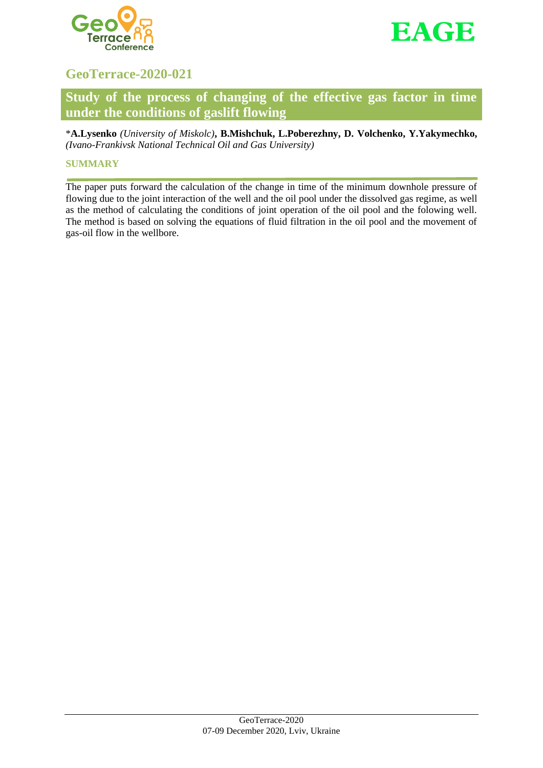



# **GeoTerrace-2020-021**

# **Study of the process of changing of the effective gas factor in time under the conditions of gaslift flowing**

\***A.Lysenko** *(University of Miskolc)***, B.Mishchuk, L.Poberezhny, D. Volchenko, Y.Yakymechko,**  *(Ivano-Frankivsk National Technical Oil and Gas University)*

# **SUMMARY**

The paper puts forward the calculation of the change in time of the minimum downhole pressure of flowing due to the joint interaction of the well and the oil pool under the dissolved gas regime, as well as the method of calculating the conditions of joint operation of the oil pool and the folowing well. The method is based on solving the equations of fluid filtration in the oil pool and the movement of gas-oil flow in the wellbore.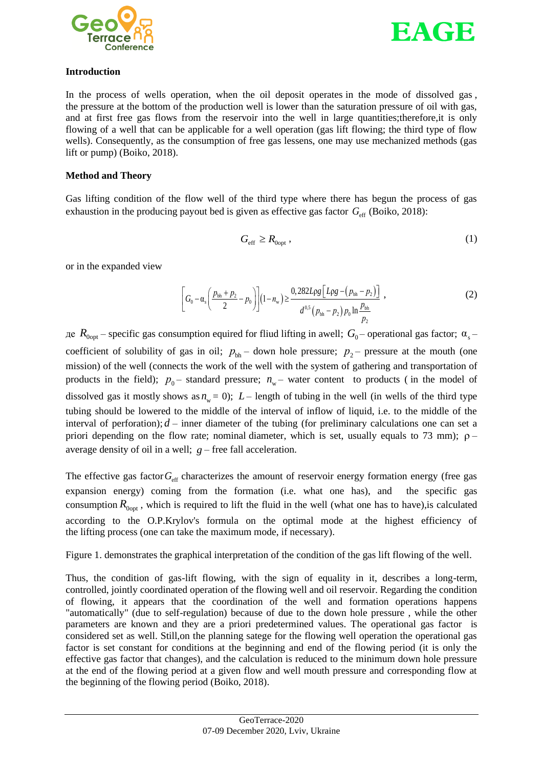



#### **Introduction**

In the process of wells operation, when the oil deposit operates in the mode of dissolved gas , the pressure at the bottom of the production well is lower than the saturation pressure of oil with gas, and at first free gas flows from the reservoir into the well in large quantities;therefore,it is only flowing of a well that can be applicable for a well operation (gas lift flowing; the third type of flow wells). Consequently, as the consumption of free gas lessens, one may use mechanized methods (gas lift or pump) (Boiko, 2018).

### **Method and Theory**

Gas lifting condition of the flow well of the third type where there has begun the process of gas exhaustion in the producing payout bed is given as effective gas factor  $G_{\text{eff}}$  (Boiko, 2018):

$$
G_{\rm eff} \ge R_{\rm Oopt} \,, \tag{1}
$$

or in the expanded view

$$
\left[G_0 - \alpha_s \left(\frac{p_{bh} + p_2}{2} - p_0\right)\right](1 - n_w) \ge \frac{0.282 L \rho g \left[L \rho g - (p_{bh} - p_2)\right]}{d^{0.5} (p_{bh} - p_2) p_0 \ln \frac{p_{bh}}{p_2}}\,,\tag{2}
$$

 $\alpha_{\rm 0opt}$  – specific gas consumption equired for fliud lifting in awell;  $G_0$ – operational gas factor; α<sub>s</sub> coefficient of solubility of gas in oil;  $p_{bh}$  – down hole pressure;  $p_2$  – pressure at the mouth (one mission) of the well (connects the work of the well with the system of gathering and transportation of products in the field);  $p_0$  – standard pressure;  $n_w$  – water content to products (in the model of dissolved gas it mostly shows as  $n_w = 0$ );  $L$  – length of tubing in the well (in wells of the third type tubing should be lowered to the middle of the interval of inflow of liquid, i.e. to the middle of the interval of perforation);  $d$  – inner diameter of the tubing (for preliminary calculations one can set a priori depending on the flow rate; nominal diameter, which is set, usually equals to 73 mm);  $\rho$ average density of oil in a well;  $g$  – free fall acceleration.

The effective gas factor  $G_{\text{eff}}$  characterizes the amount of reservoir energy formation energy (free gas expansion energy) coming from the formation (i.e. what one has), and the specific gas consumption  $R_{0opt}$ , which is required to lift the fluid in the well (what one has to have), is calculated according to the O.P.Krylov's formula on the optimal mode at the highest efficiency of the lifting process (one can take the maximum mode, if necessary).

Figure 1. demonstrates the graphical interpretation of the condition of the gas lift flowing of the well.

Thus, the condition of gas-lift flowing, with the sign of equality in it, describes a long-term, controlled, jointly coordinated operation of the flowing well and oil reservoir. Regarding the condition of flowing, it appears that the coordination of the well and formation operations happens "automatically" (due to self-regulation) because of due to the down hole pressure , while the other parameters are known and they are a priori predetermined values. The operational gas factor is considered set as well. Still,on the planning satege for the flowing well operation the operational gas factor is set constant for conditions at the beginning and end of the flowing period (it is only the effective gas factor that changes), and the calculation is reduced to the minimum down hole pressure at the end of the flowing period at a given flow and well mouth pressure and corresponding flow at the beginning of the flowing period (Boiko, 2018).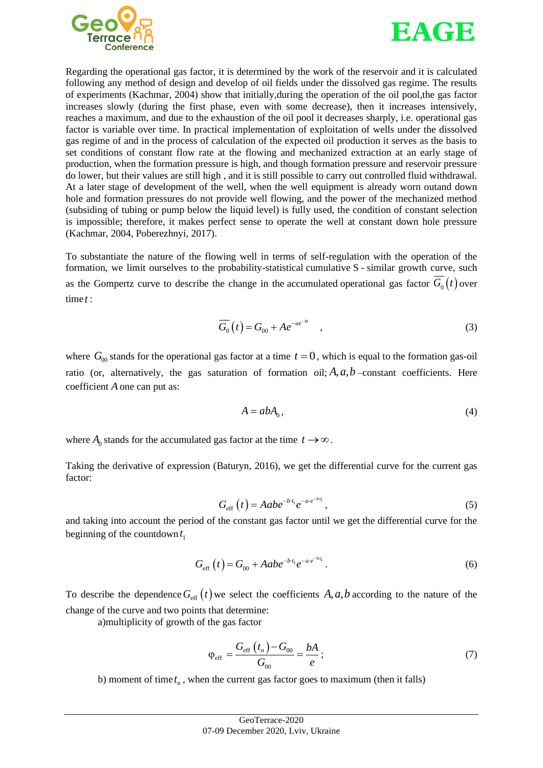



Regarding the operational gas factor, it is determined by the work of the reservoir and it is calculated following any method of design and develop of oil fields under the dissolved gas regime. The results of experiments (Kachmar, 2004) show that initially,during the operation of the oil pool,the gas factor increases slowly (during the first phase, even with some decrease), then it increases intensively, reaches a maximum, and due to the exhaustion of the oil pool it decreases sharply, i.e. operational gas factor is variable over time. In practical implementation of exploitation of wells under the dissolved gas regime of and in the process of calculation of the expected oil production it serves as the basis to set conditions of constant flow rate at the flowing and mechanized extraction at an early stage of production, when the formation pressure is high, and though formation pressure and reservoir pressure do lower, but their values are still high , and it is still possible to carry out controlled fluid withdrawal. At a later stage of development of the well, when the well equipment is already worn outand down hole and formation pressures do not provide well flowing, and the power of the mechanized method (subsiding of tubing or pump below the liquid level) is fully used, the condition of constant selection is impossible; therefore, it makes perfect sense to operate the well at constant down hole pressure (Kachmar, 2004, Poberezhnyi, 2017).

To substantiate the nature of the flowing well in terms of self-regulation with the operation of the formation, we limit ourselves to the probability-statistical cumulative S - similar growth curve, such as the Gompertz curve to describe the change in the accumulated operational gas factor  $G_0(t)$  over time *t* :

$$
\overline{G_0}(t) = G_{00} + Ae^{-ae^{-bt}} \quad , \tag{3}
$$

where  $G_{00}$  stands for the operational gas factor at a time  $t = 0$ , which is equal to the formation gas-oil ratio (or, alternatively, the gas saturation of formation oil;  $A$ ,  $a$ ,  $b$  -constant coefficients. Here coefficient *A* one can put as:

$$
A = abA_0, \tag{4}
$$

where  $A_0$  stands for the accumulated gas factor at the time  $t \to \infty$ .

Taking the derivative of expression (Baturyn, 2016), we get the differential curve for the current gas factor:

$$
G_{\rm eff}\left(t\right) = Aabe^{-b\cdot t_1}e^{-ae^{-b\cdot t_1}},\tag{5}
$$

and taking into account the period of the constant gas factor until we get the differential curve for the beginning of the countdown 1 *t*

$$
G_{\rm eff}(t) = G_{00} + Aabe^{-b \cdot t_1}e^{-ae^{-b \cdot t_1}}.
$$
 (6)

To describe the dependence  $G_{\text{eff}}(t)$  we select the coefficients  $A, a, b$  according to the nature of the change of the curve and two points that determine:

a)multiplicity of growth of the gas factor

$$
\varphi_{\rm eff} = \frac{G_{\rm eff} (t_n) - G_{00}}{G_{00}} = \frac{bA}{e};
$$
\n(7)

b) moment of time  $t_{n}$ , when the current gas factor goes to maximum (then it falls)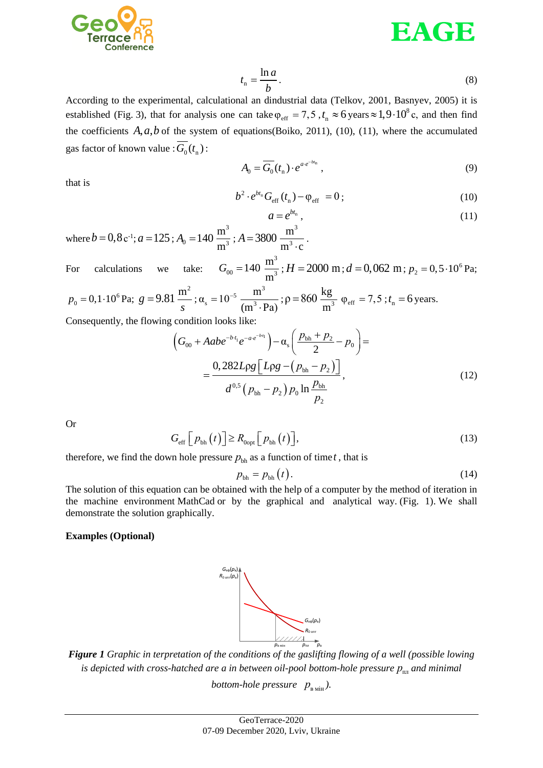



$$
t_{\rm n} = \frac{\ln a}{b}.\tag{8}
$$

According to the experimental, calculational an dindustrial data (Telkov, 2001, Basnyev, 2005) it is established (Fig. 3), that for analysis one can take  $\varphi_{\text{eff}} = 7.5$ ,  $t_n \approx 6$  years  $\approx 1.9 \cdot 10^8$  c, and then find the coefficients  $A$ ,  $a$ ,  $b$  of the system of equations(Boiko, 2011), (10), (11), where the accumulated gas factor of known value :  $G_0(t_n)$  :

$$
A_0 = \overline{G_0}(t_n) \cdot e^{a \cdot e^{-b t_n}}, \qquad (9)
$$

that is

$$
b^2 \cdot e^{bt_n} G_{\rm eff}(t_n) - \varphi_{\rm eff} = 0 \, ; \tag{10}
$$

$$
a = e^{bt_n}, \tag{11}
$$

where  $b = 0, 8 \text{ c}^{-1}$ ;  $a = 125$ ;  $A_0 = 140 \frac{\text{m}^3}{\text{m}^3}$ m m  $A = 3800 \frac{\text{m}^3}{\text{m}^3}$ m  $m^3 \cdot c$ 

For calculations we take:  $G_{00} = 140 \frac{\text{m}^3}{\text{m}^3}$ m m  $; H = 2000 \text{ m}; d = 0,062 \text{ m}; p_2 = 0,5 \cdot 10^6 \text{ Pa};$ 

.

$$
p_0 = 0, 1 \cdot 10^6
$$
 Pa;  $g = 9.81 \frac{m^2}{s}$ ;  $\alpha_s = 10^{-5} \frac{m^3}{(m^3 \cdot Pa)}$ ;  $\rho = 860 \frac{kg}{m^3}$   $\varphi_{eff} = 7, 5$ ;  $t_n = 6$  years.

Consequently, the flowing condition looks like:

condition looks like:  
\n
$$
\left(G_{00} + Aabe^{-b t_1}e^{-ae^{-b t_1}}\right) - \alpha_s \left(\frac{p_{bh} + p_2}{2} - p_0\right) =
$$
\n
$$
= \frac{0,282 L \rho g \left[L \rho g - (p_{bh} - p_2)\right]}{d^{0.5} (p_{bh} - p_2) p_0 \ln \frac{p_{bh}}{p_2}},
$$
\n(12)

Or

$$
G_{\rm eff}\left[p_{\rm bh}\left(t\right)\right] \ge R_{\rm Oopt}\left[p_{\rm bh}\left(t\right)\right],\tag{13}
$$

therefore, we find the down hole pressure  $p_{\text{bh}}$  as a function of time *t*, that is

$$
p_{\text{bh}} = p_{\text{bh}}(t). \tag{14}
$$

The solution of this equation can be obtained with the help of a computer by the method of iteration in the machine environment MathCad or by the graphical and analytical way. (Fig. 1). We shall demonstrate the solution graphically.

#### **Examples (Optional)**



*Figure 1 Graphic in terpretation of the conditions of the gaslifting flowing of a well (possible lowing is depicted with cross-hatched are a in between oil-pool bottom-hole pressure*  $p_{_{\text{\tiny{III}}}}$  *and minimal bottom-hole pressure*  $p_{\text{\tiny B\tiny{M\tiny{H\tiny{H}}}}}$ *).*